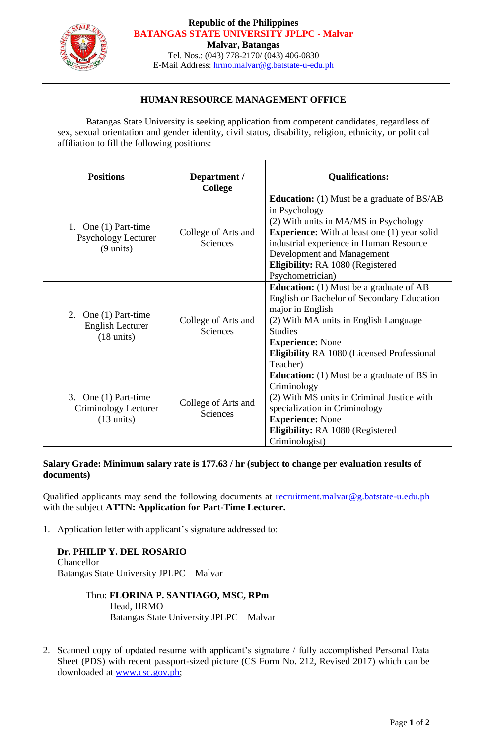

#### **Republic of the Philippines BATANGAS STATE UNIVERSITY JPLPC - Malvar Malvar, Batangas**

Tel. Nos.: (043) 778-2170/ (043) 406-0830 E-Mail Address: [hrmo.malvar@g.batstate-u-edu.ph](mailto:hrmo.malvar@g.batstate-u-edu.ph)

### **HUMAN RESOURCE MANAGEMENT OFFICE**

Batangas State University is seeking application from competent candidates, regardless of sex, sexual orientation and gender identity, civil status, disability, religion, ethnicity, or political affiliation to fill the following positions:

| <b>Positions</b>                                                            | Department /<br><b>College</b>         | <b>Qualifications:</b>                                                                                                                                                                                                                                                                              |
|-----------------------------------------------------------------------------|----------------------------------------|-----------------------------------------------------------------------------------------------------------------------------------------------------------------------------------------------------------------------------------------------------------------------------------------------------|
| 1. One $(1)$ Part-time<br><b>Psychology Lecturer</b><br>$(9 \text{ units})$ | College of Arts and<br><b>Sciences</b> | <b>Education:</b> (1) Must be a graduate of BS/AB<br>in Psychology<br>(2) With units in MA/MS in Psychology<br><b>Experience:</b> With at least one (1) year solid<br>industrial experience in Human Resource<br>Development and Management<br>Eligibility: RA 1080 (Registered<br>Psychometrician) |
| 2. One $(1)$ Part-time<br>English Lecturer<br>$(18 \text{ units})$          | College of Arts and<br>Sciences        | <b>Education:</b> (1) Must be a graduate of AB<br>English or Bachelor of Secondary Education<br>major in English<br>(2) With MA units in English Language<br><b>Studies</b><br><b>Experience:</b> None<br><b>Eligibility RA 1080 (Licensed Professional</b><br>Teacher)                             |
| 3. One $(1)$ Part-time<br>Criminology Lecturer<br>$(13 \text{ units})$      | College of Arts and<br>Sciences        | <b>Education:</b> (1) Must be a graduate of BS in<br>Criminology<br>(2) With MS units in Criminal Justice with<br>specialization in Criminology<br><b>Experience: None</b><br><b>Eligibility: RA 1080 (Registered</b><br>Criminologist)                                                             |

**Salary Grade: Minimum salary rate is 177.63 / hr (subject to change per evaluation results of documents)**

Qualified applicants may send the following documents at [recruitment.malvar@g.batstate-u.edu.ph](mailto:recruitment.malvar@g.batstate-u.edu.ph) with the subject **ATTN: Application for Part-Time Lecturer.** 

1. Application letter with applicant's signature addressed to:

## **Dr. PHILIP Y. DEL ROSARIO**

Chancellor Batangas State University JPLPC – Malvar

# Thru: **FLORINA P. SANTIAGO, MSC, RPm** Head, HRMO

Batangas State University JPLPC – Malvar

2. Scanned copy of updated resume with applicant's signature / fully accomplished Personal Data Sheet (PDS) with recent passport-sized picture (CS Form No. 212, Revised 2017) which can be downloaded at [www.csc.gov.ph;](http://www.csc.gov.ph/)